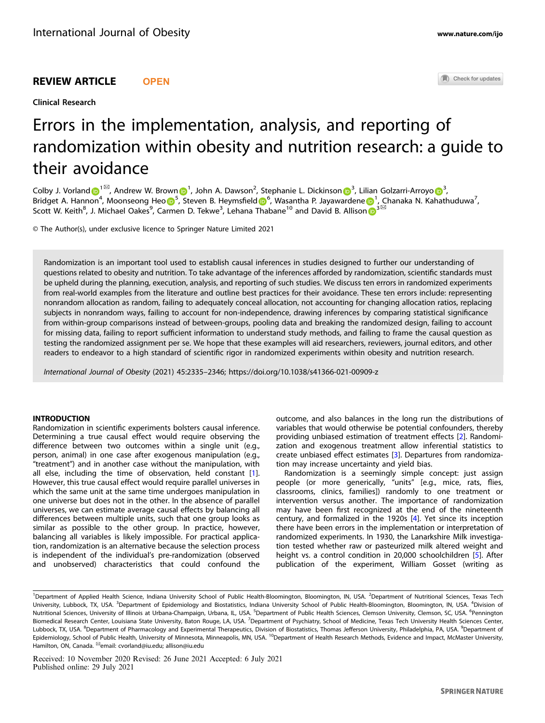Clinical Research

Check for updates

# Errors in the implementation, analysis, and reporting of randomization within obesity and nutrition research: a guide to their avoidance

C[o](http://orcid.org/0000-0002-1221-6701)lby J. Vorland  $\bigodot^{1\boxtimes}$  $\bigodot^{1\boxtimes}$  $\bigodot^{1\boxtimes}$ , Andrew W. Brown  $\bigodot^1$ , John A. Dawson<sup>2</sup>, Stephanie L. Dickinson  $\bigodot^3$  $\bigodot^3$ , Lilian Golzarri-Arroyo  $\bigodot^3$ , Bridget A. Hannon<sup>[4](http://orcid.org/0000-0003-4225-372X)</sup>, M[o](http://orcid.org/0000-0001-7711-1209)onseong Heo D<sup>[5](http://orcid.org/0000-0001-7711-1209)</sup>, Steven B. Heymsfield D<sup>[6](http://orcid.org/0000-0003-1127-9425)</sup>, Wasantha P. Jayaward[e](http://orcid.org/0000-0002-8798-0894)ne D<sup>[1](http://orcid.org/0000-0002-8798-0894)</sup>, Chanaka N. Kahathuduwa<sup>7</sup>, Shaget At Hamse[n](http://orcid.org/0000-0003-3566-9399), moonsesing Health B. Secotion B. Heymsherd by , Masamma Historical B. Allison  $\mathbb{D}^3$  $\mathbb{D}^3$ 

© The Author(s), under exclusive licence to Springer Nature Limited 2021

Randomization is an important tool used to establish causal inferences in studies designed to further our understanding of questions related to obesity and nutrition. To take advantage of the inferences afforded by randomization, scientific standards must be upheld during the planning, execution, analysis, and reporting of such studies. We discuss ten errors in randomized experiments from real-world examples from the literature and outline best practices for their avoidance. These ten errors include: representing nonrandom allocation as random, failing to adequately conceal allocation, not accounting for changing allocation ratios, replacing subjects in nonrandom ways, failing to account for non-independence, drawing inferences by comparing statistical significance from within-group comparisons instead of between-groups, pooling data and breaking the randomized design, failing to account for missing data, failing to report sufficient information to understand study methods, and failing to frame the causal question as testing the randomized assignment per se. We hope that these examples will aid researchers, reviewers, journal editors, and other readers to endeavor to a high standard of scientific rigor in randomized experiments within obesity and nutrition research.

International Journal of Obesity (2021) 45:2335–2346; https://doi.org/10.1038/s41366-021-00909-z

## INTRODUCTION

Randomization in scientific experiments bolsters causal inference. Determining a true causal effect would require observing the difference between two outcomes within a single unit (e.g., person, animal) in one case after exogenous manipulation (e.g., "treatment") and in another case without the manipulation, with all else, including the time of observation, held constant [\[1\]](#page-7-0). However, this true causal effect would require parallel universes in which the same unit at the same time undergoes manipulation in one universe but does not in the other. In the absence of parallel universes, we can estimate average causal effects by balancing all differences between multiple units, such that one group looks as similar as possible to the other group. In practice, however, balancing all variables is likely impossible. For practical application, randomization is an alternative because the selection process is independent of the individual's pre-randomization (observed and unobserved) characteristics that could confound the outcome, and also balances in the long run the distributions of variables that would otherwise be potential confounders, thereby providing unbiased estimation of treatment effects [[2](#page-7-0)]. Randomization and exogenous treatment allow inferential statistics to create unbiased effect estimates [[3](#page-7-0)]. Departures from randomization may increase uncertainty and yield bias.

Randomization is a seemingly simple concept: just assign people (or more generically, "units" [e.g., mice, rats, flies, classrooms, clinics, families]) randomly to one treatment or intervention versus another. The importance of randomization may have been first recognized at the end of the nineteenth century, and formalized in the 1920s [\[4](#page-7-0)]. Yet since its inception there have been errors in the implementation or interpretation of randomized experiments. In 1930, the Lanarkshire Milk investigation tested whether raw or pasteurized milk altered weight and height vs. a control condition in 20,000 schoolchildren [\[5\]](#page-7-0). After publication of the experiment, William Gosset (writing as

Received: 10 November 2020 Revised: 26 June 2021 Accepted: 6 July 2021 Published online: 29 July 2021

<sup>&</sup>lt;sup>1</sup>Department of Applied Health Science, Indiana University School of Public Health-Bloomington, Bloomington, IN, USA. <sup>2</sup>Department of Nutritional Sciences, Texas Tech University, Lubbock, TX, USA. <sup>3</sup>Department of Epidemiology and Biostatistics, Indiana University School of Public Health-Bloomington, Bloomington, IN, USA. <sup>4</sup>Division of Nutritional Sciences, University of Illinois at Urbana-Champaign, Urbana, IL, USA. <sup>5</sup>Department of Public Health Sciences, Clemson University, Clemson, SC, USA. <sup>6</sup>Pennington Biomedical Research Center, Louisiana State University, Baton Rouge, LA, USA. <sup>7</sup>Department of Psychiatry, School of Medicine, Texas Tech University Health Sciences Center, Lubbock, TX, USA. <sup>8</sup>Department of Pharmacology and Experimental Therapeutics, Division of Biostatistics, Thomas Jefferson University, Philadelphia, PA, USA. <sup>9</sup>Department of Epidemiology, School of Public Health, University of Minnesota, Minneapolis, MN, USA. <sup>10</sup>Department of Health Research Methods, Evidence and Impact, McMaster University, Hamilton, ON, Canada. <sup>⊠</sup>email: [cvorland@iu.edu;](mailto:cvorland@iu.edu) [allison@iu.edu](mailto:allison@iu.edu)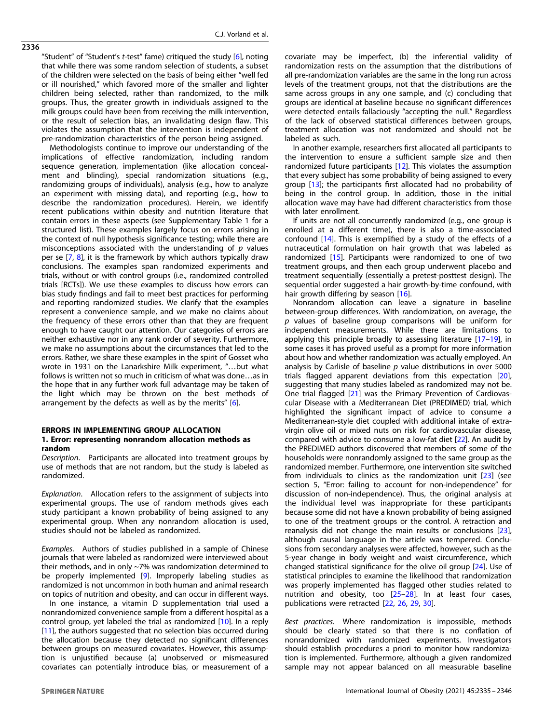"Student" of "Student's t-test" fame) critiqued the study [[6](#page-7-0)], noting that while there was some random selection of students, a subset of the children were selected on the basis of being either "well fed or ill nourished," which favored more of the smaller and lighter children being selected, rather than randomized, to the milk groups. Thus, the greater growth in individuals assigned to the milk groups could have been from receiving the milk intervention, or the result of selection bias, an invalidating design flaw. This violates the assumption that the intervention is independent of pre-randomization characteristics of the person being assigned.

Methodologists continue to improve our understanding of the implications of effective randomization, including random sequence generation, implementation (like allocation concealment and blinding), special randomization situations (e.g., randomizing groups of individuals), analysis (e.g., how to analyze an experiment with missing data), and reporting (e.g., how to describe the randomization procedures). Herein, we identify recent publications within obesity and nutrition literature that contain errors in these aspects (see Supplementary Table 1 for a structured list). These examples largely focus on errors arising in the context of null hypothesis significance testing; while there are misconceptions associated with the understanding of  $p$  values per se  $[7, 8]$  $[7, 8]$  $[7, 8]$  $[7, 8]$ , it is the framework by which authors typically draw conclusions. The examples span randomized experiments and trials, without or with control groups (i.e., randomized controlled trials [RCTs]). We use these examples to discuss how errors can bias study findings and fail to meet best practices for performing and reporting randomized studies. We clarify that the examples represent a convenience sample, and we make no claims about the frequency of these errors other than that they are frequent enough to have caught our attention. Our categories of errors are neither exhaustive nor in any rank order of severity. Furthermore, we make no assumptions about the circumstances that led to the errors. Rather, we share these examples in the spirit of Gosset who wrote in 1931 on the Lanarkshire Milk experiment, "…but what follows is written not so much in criticism of what was done…as in the hope that in any further work full advantage may be taken of the light which may be thrown on the best methods of arrangement by the defects as well as by the merits" [[6](#page-7-0)].

# ERRORS IN IMPLEMENTING GROUP ALLOCATION 1. Error: representing nonrandom allocation methods as random

Description. Participants are allocated into treatment groups by use of methods that are not random, but the study is labeled as randomized.

Explanation. Allocation refers to the assignment of subjects into experimental groups. The use of random methods gives each study participant a known probability of being assigned to any experimental group. When any nonrandom allocation is used, studies should not be labeled as randomized.

Examples. Authors of studies published in a sample of Chinese journals that were labeled as randomized were interviewed about their methods, and in only ~7% was randomization determined to be properly implemented [\[9](#page-7-0)]. Improperly labeling studies as randomized is not uncommon in both human and animal research on topics of nutrition and obesity, and can occur in different ways.

In one instance, a vitamin D supplementation trial used a nonrandomized convenience sample from a different hospital as a control group, yet labeled the trial as randomized [[10](#page-7-0)]. In a reply [[11\]](#page-7-0), the authors suggested that no selection bias occurred during the allocation because they detected no significant differences between groups on measured covariates. However, this assumption is unjustified because (a) unobserved or mismeasured covariates can potentially introduce bias, or measurement of a

covariate may be imperfect, (b) the inferential validity of randomization rests on the assumption that the distributions of all pre-randomization variables are the same in the long run across levels of the treatment groups, not that the distributions are the same across groups in any one sample, and (c) concluding that groups are identical at baseline because no significant differences were detected entails fallaciously "accepting the null." Regardless of the lack of observed statistical differences between groups, treatment allocation was not randomized and should not be labeled as such.

In another example, researchers first allocated all participants to the intervention to ensure a sufficient sample size and then randomized future participants [\[12\]](#page-7-0). This violates the assumption that every subject has some probability of being assigned to every group [\[13](#page-7-0)]; the participants first allocated had no probability of being in the control group. In addition, those in the initial allocation wave may have had different characteristics from those with later enrollment.

If units are not all concurrently randomized (e.g., one group is enrolled at a different time), there is also a time-associated confound [\[14\]](#page-7-0). This is exemplified by a study of the effects of a nutraceutical formulation on hair growth that was labeled as randomized [\[15](#page-7-0)]. Participants were randomized to one of two treatment groups, and then each group underwent placebo and treatment sequentially (essentially a pretest-posttest design). The sequential order suggested a hair growth-by-time confound, with hair growth differing by season [[16\]](#page-7-0).

Nonrandom allocation can leave a signature in baseline between-group differences. With randomization, on average, the p values of baseline group comparisons will be uniform for independent measurements. While there are limitations to applying this principle broadly to assessing literature [[17](#page-7-0)-[19\]](#page-7-0), in some cases it has proved useful as a prompt for more information about how and whether randomization was actually employed. An analysis by Carlisle of baseline  $p$  value distributions in over 5000 trials flagged apparent deviations from this expectation [[20](#page-7-0)], suggesting that many studies labeled as randomized may not be. One trial flagged [\[21](#page-7-0)] was the Primary Prevention of Cardiovascular Disease with a Mediterranean Diet (PREDIMED) trial, which highlighted the significant impact of advice to consume a Mediterranean-style diet coupled with additional intake of extravirgin olive oil or mixed nuts on risk for cardiovascular disease, compared with advice to consume a low-fat diet [[22\]](#page-7-0). An audit by the PREDIMED authors discovered that members of some of the households were nonrandomly assigned to the same group as the randomized member. Furthermore, one intervention site switched from individuals to clinics as the randomization unit [\[23](#page-7-0)] (see section 5, "Error: failing to account for non-independence" for discussion of non-independence). Thus, the original analysis at the individual level was inappropriate for these participants because some did not have a known probability of being assigned to one of the treatment groups or the control. A retraction and reanalysis did not change the main results or conclusions [[23](#page-7-0)], although causal language in the article was tempered. Conclusions from secondary analyses were affected, however, such as the 5-year change in body weight and waist circumference, which changed statistical significance for the olive oil group [\[24](#page-7-0)]. Use of statistical principles to examine the likelihood that randomization was properly implemented has flagged other studies related to nutrition and obesity, too [[25](#page-7-0)–[28](#page-7-0)]. In at least four cases, publications were retracted [[22,](#page-7-0) [26,](#page-7-0) [29,](#page-7-0) [30\]](#page-7-0).

Best practices. Where randomization is impossible, methods should be clearly stated so that there is no conflation of nonrandomized with randomized experiments. Investigators should establish procedures a priori to monitor how randomization is implemented. Furthermore, although a given randomized sample may not appear balanced on all measurable baseline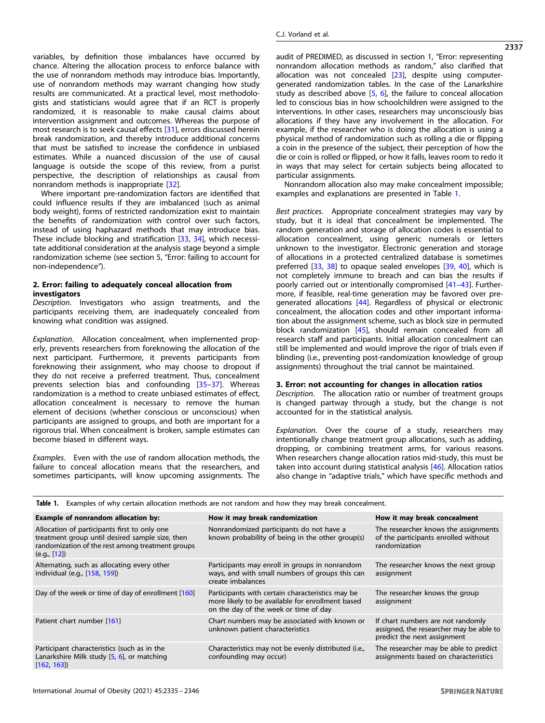variables, by definition those imbalances have occurred by chance. Altering the allocation process to enforce balance with the use of nonrandom methods may introduce bias. Importantly, use of nonrandom methods may warrant changing how study results are communicated. At a practical level, most methodologists and statisticians would agree that if an RCT is properly randomized, it is reasonable to make causal claims about intervention assignment and outcomes. Whereas the purpose of most research is to seek causal effects [\[31](#page-7-0)], errors discussed herein break randomization, and thereby introduce additional concerns that must be satisfied to increase the confidence in unbiased estimates. While a nuanced discussion of the use of causal language is outside the scope of this review, from a purist perspective, the description of relationships as causal from nonrandom methods is inappropriate [\[32](#page-8-0)].

Where important pre-randomization factors are identified that could influence results if they are imbalanced (such as animal body weight), forms of restricted randomization exist to maintain the benefits of randomization with control over such factors, instead of using haphazard methods that may introduce bias. These include blocking and stratification [\[33](#page-8-0), [34\]](#page-8-0), which necessitate additional consideration at the analysis stage beyond a simple randomization scheme (see section 5, "Error: failing to account for non-independence").

# 2. Error: failing to adequately conceal allocation from investigators

Description. Investigators who assign treatments, and the participants receiving them, are inadequately concealed from knowing what condition was assigned.

Explanation. Allocation concealment, when implemented properly, prevents researchers from foreknowing the allocation of the next participant. Furthermore, it prevents participants from foreknowing their assignment, who may choose to dropout if they do not receive a preferred treatment. Thus, concealment prevents selection bias and confounding [\[35](#page-8-0)–[37](#page-8-0)]. Whereas randomization is a method to create unbiased estimates of effect, allocation concealment is necessary to remove the human element of decisions (whether conscious or unconscious) when participants are assigned to groups, and both are important for a rigorous trial. When concealment is broken, sample estimates can become biased in different ways.

Examples. Even with the use of random allocation methods, the failure to conceal allocation means that the researchers, and sometimes participants, will know upcoming assignments. The audit of PREDIMED, as discussed in section 1, "Error: representing nonrandom allocation methods as random," also clarified that allocation was not concealed [[23\]](#page-7-0), despite using computergenerated randomization tables. In the case of the Lanarkshire study as described above  $[5, 6]$  $[5, 6]$  $[5, 6]$  $[5, 6]$  $[5, 6]$ , the failure to conceal allocation led to conscious bias in how schoolchildren were assigned to the interventions. In other cases, researchers may unconsciously bias allocations if they have any involvement in the allocation. For example, if the researcher who is doing the allocation is using a physical method of randomization such as rolling a die or flipping a coin in the presence of the subject, their perception of how the die or coin is rolled or flipped, or how it falls, leaves room to redo it in ways that may select for certain subjects being allocated to particular assignments.

Nonrandom allocation also may make concealment impossible; examples and explanations are presented in Table 1.

Best practices. Appropriate concealment strategies may vary by study, but it is ideal that concealment be implemented. The random generation and storage of allocation codes is essential to allocation concealment, using generic numerals or letters unknown to the investigator. Electronic generation and storage of allocations in a protected centralized database is sometimes preferred [[33,](#page-8-0) [38](#page-8-0)] to opaque sealed envelopes [\[39](#page-8-0), [40\]](#page-8-0), which is not completely immune to breach and can bias the results if poorly carried out or intentionally compromised [\[41](#page-8-0)–[43\]](#page-8-0). Furthermore, if feasible, real-time generation may be favored over pregenerated allocations [[44\]](#page-8-0). Regardless of physical or electronic concealment, the allocation codes and other important information about the assignment scheme, such as block size in permuted block randomization [[45](#page-8-0)], should remain concealed from all research staff and participants. Initial allocation concealment can still be implemented and would improve the rigor of trials even if blinding (i.e., preventing post-randomization knowledge of group assignments) throughout the trial cannot be maintained.

#### 3. Error: not accounting for changes in allocation ratios

Description. The allocation ratio or number of treatment groups is changed partway through a study, but the change is not accounted for in the statistical analysis.

Explanation. Over the course of a study, researchers may intentionally change treatment group allocations, such as adding, dropping, or combining treatment arms, for various reasons. When researchers change allocation ratios mid-study, this must be taken into account during statistical analysis [\[46\]](#page-8-0). Allocation ratios also change in "adaptive trials," which have specific methods and

| Example of nonrandom allocation by:                                                                                                                                 | How it may break randomization                                                                                                                | How it may break concealment                                                                                |
|---------------------------------------------------------------------------------------------------------------------------------------------------------------------|-----------------------------------------------------------------------------------------------------------------------------------------------|-------------------------------------------------------------------------------------------------------------|
| Allocation of participants first to only one<br>treatment group until desired sample size, then<br>randomization of the rest among treatment groups<br>(e.g., [12]) | Nonrandomized participants do not have a<br>known probability of being in the other group(s)                                                  | The researcher knows the assignments<br>of the participants enrolled without<br>randomization               |
| Alternating, such as allocating every other<br>individual (e.g., [158, 159])                                                                                        | Participants may enroll in groups in nonrandom<br>ways, and with small numbers of groups this can<br>create imbalances                        | The researcher knows the next group<br>assignment                                                           |
| Day of the week or time of day of enrollment [160]                                                                                                                  | Participants with certain characteristics may be<br>more likely to be available for enrollment based<br>on the day of the week or time of day | The researcher knows the group<br>assignment                                                                |
| Patient chart number [161]                                                                                                                                          | Chart numbers may be associated with known or<br>unknown patient characteristics                                                              | If chart numbers are not randomly<br>assigned, the researcher may be able to<br>predict the next assignment |
| Participant characteristics (such as in the<br>Lanarkshire Milk study [5, 6], or matching<br>[162, 163]                                                             | Characteristics may not be evenly distributed (i.e.,<br>confounding may occur)                                                                | The researcher may be able to predict<br>assignments based on characteristics                               |

Table 1. Examples of why certain allocation methods are not random and how they may break concealment.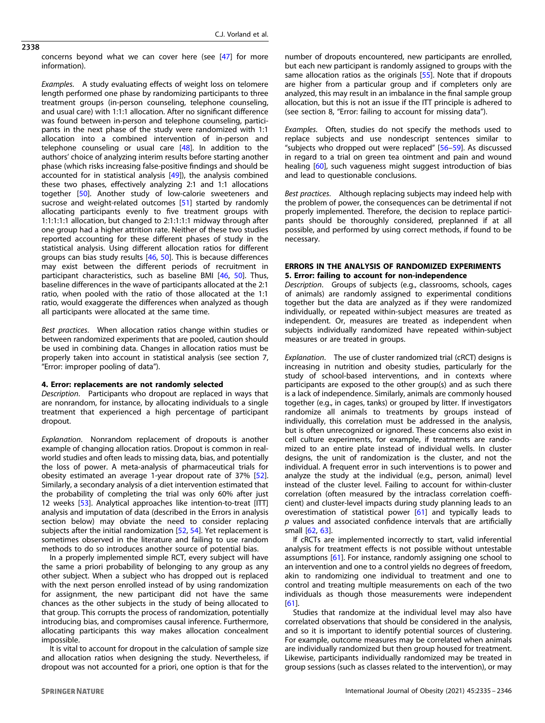C.J. Vorland et al.

2338

concerns beyond what we can cover here (see [\[47\]](#page-8-0) for more information).

Examples. A study evaluating effects of weight loss on telomere length performed one phase by randomizing participants to three treatment groups (in-person counseling, telephone counseling, and usual care) with 1:1:1 allocation. After no significant difference was found between in-person and telephone counseling, participants in the next phase of the study were randomized with 1:1 allocation into a combined intervention of in-person and telephone counseling or usual care  $[48]$  $[48]$ . In addition to the authors' choice of analyzing interim results before starting another phase (which risks increasing false-positive findings and should be accounted for in statistical analysis [[49](#page-8-0)]), the analysis combined these two phases, effectively analyzing 2:1 and 1:1 allocations together [[50\]](#page-8-0). Another study of low-calorie sweeteners and sucrose and weight-related outcomes [\[51\]](#page-8-0) started by randomly allocating participants evenly to five treatment groups with 1:1:1:1:1 allocation, but changed to 2:1:1:1:1 midway through after one group had a higher attrition rate. Neither of these two studies reported accounting for these different phases of study in the statistical analysis. Using different allocation ratios for different groups can bias study results [[46,](#page-8-0) [50\]](#page-8-0). This is because differences may exist between the different periods of recruitment in participant characteristics, such as baseline BMI [\[46,](#page-8-0) [50](#page-8-0)]. Thus, baseline differences in the wave of participants allocated at the 2:1 ratio, when pooled with the ratio of those allocated at the 1:1 ratio, would exaggerate the differences when analyzed as though all participants were allocated at the same time.

Best practices. When allocation ratios change within studies or between randomized experiments that are pooled, caution should be used in combining data. Changes in allocation ratios must be properly taken into account in statistical analysis (see section 7, "Error: improper pooling of data").

# 4. Error: replacements are not randomly selected

Description. Participants who dropout are replaced in ways that are nonrandom, for instance, by allocating individuals to a single treatment that experienced a high percentage of participant dropout.

Explanation. Nonrandom replacement of dropouts is another example of changing allocation ratios. Dropout is common in realworld studies and often leads to missing data, bias, and potentially the loss of power. A meta-analysis of pharmaceutical trials for obesity estimated an average 1-year dropout rate of 37% [[52](#page-8-0)]. Similarly, a secondary analysis of a diet intervention estimated that the probability of completing the trial was only 60% after just 12 weeks [[53](#page-8-0)]. Analytical approaches like intention-to-treat [ITT] analysis and imputation of data (described in the Errors in analysis section below) may obviate the need to consider replacing subjects after the initial randomization [[52,](#page-8-0) [54](#page-8-0)]. Yet replacement is sometimes observed in the literature and failing to use random methods to do so introduces another source of potential bias.

In a properly implemented simple RCT, every subject will have the same a priori probability of belonging to any group as any other subject. When a subject who has dropped out is replaced with the next person enrolled instead of by using randomization for assignment, the new participant did not have the same chances as the other subjects in the study of being allocated to that group. This corrupts the process of randomization, potentially introducing bias, and compromises causal inference. Furthermore, allocating participants this way makes allocation concealment impossible.

It is vital to account for dropout in the calculation of sample size and allocation ratios when designing the study. Nevertheless, if dropout was not accounted for a priori, one option is that for the number of dropouts encountered, new participants are enrolled, but each new participant is randomly assigned to groups with the same allocation ratios as the originals [\[55\]](#page-8-0). Note that if dropouts are higher from a particular group and if completers only are analyzed, this may result in an imbalance in the final sample group allocation, but this is not an issue if the ITT principle is adhered to (see section 8, "Error: failing to account for missing data").

Examples. Often, studies do not specify the methods used to replace subjects and use nondescript sentences similar to "subjects who dropped out were replaced" [\[56](#page-8-0)–[59\]](#page-8-0). As discussed in regard to a trial on green tea ointment and pain and wound healing [[60](#page-8-0)], such vagueness might suggest introduction of bias and lead to questionable conclusions.

Best practices. Although replacing subjects may indeed help with the problem of power, the consequences can be detrimental if not properly implemented. Therefore, the decision to replace participants should be thoroughly considered, preplanned if at all possible, and performed by using correct methods, if found to be necessary.

# ERRORS IN THE ANALYSIS OF RANDOMIZED EXPERIMENTS 5. Error: failing to account for non-independence

Description. Groups of subjects (e.g., classrooms, schools, cages of animals) are randomly assigned to experimental conditions together but the data are analyzed as if they were randomized individually, or repeated within-subject measures are treated as independent. Or, measures are treated as independent when subjects individually randomized have repeated within-subject measures or are treated in groups.

Explanation. The use of cluster randomized trial (cRCT) designs is increasing in nutrition and obesity studies, particularly for the study of school-based interventions, and in contexts where participants are exposed to the other group(s) and as such there is a lack of independence. Similarly, animals are commonly housed together (e.g., in cages, tanks) or grouped by litter. If investigators randomize all animals to treatments by groups instead of individually, this correlation must be addressed in the analysis, but is often unrecognized or ignored. These concerns also exist in cell culture experiments, for example, if treatments are randomized to an entire plate instead of individual wells. In cluster designs, the unit of randomization is the cluster, and not the individual. A frequent error in such interventions is to power and analyze the study at the individual (e.g., person, animal) level instead of the cluster level. Failing to account for within-cluster correlation (often measured by the intraclass correlation coefficient) and cluster-level impacts during study planning leads to an overestimation of statistical power [[61\]](#page-8-0) and typically leads to  $p$  values and associated confidence intervals that are artificially small [\[62](#page-8-0), [63](#page-8-0)].

If cRCTs are implemented incorrectly to start, valid inferential analysis for treatment effects is not possible without untestable assumptions [[61\]](#page-8-0). For instance, randomly assigning one school to an intervention and one to a control yields no degrees of freedom, akin to randomizing one individual to treatment and one to control and treating multiple measurements on each of the two individuals as though those measurements were independent [[61\]](#page-8-0).

Studies that randomize at the individual level may also have correlated observations that should be considered in the analysis, and so it is important to identify potential sources of clustering. For example, outcome measures may be correlated when animals are individually randomized but then group housed for treatment. Likewise, participants individually randomized may be treated in group sessions (such as classes related to the intervention), or may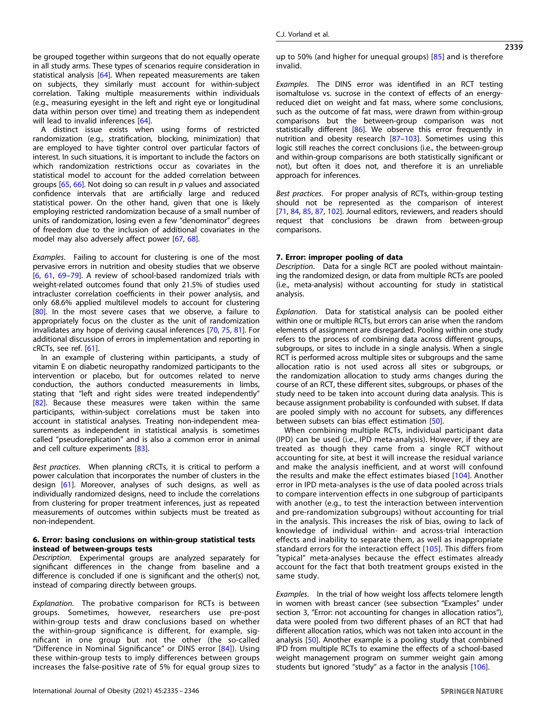be grouped together within surgeons that do not equally operate in all study arms. These types of scenarios require consideration in statistical analysis [\[64](#page-8-0)]. When repeated measurements are taken on subjects, they similarly must account for within-subject correlation. Taking multiple measurements within individuals (e.g., measuring eyesight in the left and right eye or longitudinal data within person over time) and treating them as independent will lead to invalid inferences [[64](#page-8-0)].

A distinct issue exists when using forms of restricted randomization (e.g., stratification, blocking, minimization) that are employed to have tighter control over particular factors of interest. In such situations, it is important to include the factors on which randomization restrictions occur as covariates in the statistical model to account for the added correlation between groups  $[65, 66]$  $[65, 66]$  $[65, 66]$  $[65, 66]$  $[65, 66]$ . Not doing so can result in  $p$  values and associated confidence intervals that are artificially large and reduced statistical power. On the other hand, given that one is likely employing restricted randomization because of a small number of units of randomization, losing even a few "denominator" degrees of freedom due to the inclusion of additional covariates in the model may also adversely affect power [[67](#page-8-0), [68](#page-8-0)].

Examples. Failing to account for clustering is one of the most pervasive errors in nutrition and obesity studies that we observe [\[6,](#page-7-0) [61,](#page-8-0) [69](#page-8-0)–[79](#page-8-0)]. A review of school-based randomized trials with weight-related outcomes found that only 21.5% of studies used intracluster correlation coefficients in their power analysis, and only 68.6% applied multilevel models to account for clustering [\[80\]](#page-8-0). In the most severe cases that we observe, a failure to appropriately focus on the cluster as the unit of randomization invalidates any hope of deriving causal inferences [[70,](#page-8-0) [75,](#page-8-0) [81](#page-8-0)]. For additional discussion of errors in implementation and reporting in cRCTs, see ref. [\[61](#page-8-0)].

In an example of clustering within participants, a study of vitamin E on diabetic neuropathy randomized participants to the intervention or placebo, but for outcomes related to nerve conduction, the authors conducted measurements in limbs, stating that "left and right sides were treated independently" [\[82\]](#page-8-0). Because these measures were taken within the same participants, within-subject correlations must be taken into account in statistical analyses. Treating non-independent measurements as independent in statistical analysis is sometimes called "pseudoreplication" and is also a common error in animal and cell culture experiments [[83\]](#page-8-0).

Best practices. When planning cRCTs, it is critical to perform a power calculation that incorporates the number of clusters in the design [\[61](#page-8-0)]. Moreover, analyses of such designs, as well as individually randomized designs, need to include the correlations from clustering for proper treatment inferences, just as repeated measurements of outcomes within subjects must be treated as non-independent.

# 6. Error: basing conclusions on within-group statistical tests instead of between-groups tests

Description. Experimental groups are analyzed separately for significant differences in the change from baseline and a difference is concluded if one is significant and the other(s) not, instead of comparing directly between groups.

Explanation. The probative comparison for RCTs is between groups. Sometimes, however, researchers use pre-post within-group tests and draw conclusions based on whether the within-group significance is different, for example, significant in one group but not the other (the so-called "Difference in Nominal Significance" or DINS error [[84](#page-9-0)]). Using these within-group tests to imply differences between groups increases the false-positive rate of 5% for equal group sizes to up to 50% (and higher for unequal groups)  $[85]$  $[85]$  $[85]$  and is therefore invalid.

Examples. The DINS error was identified in an RCT testing isomaltulose vs. sucrose in the context of effects of an energyreduced diet on weight and fat mass, where some conclusions, such as the outcome of fat mass, were drawn from within-group comparisons but the between-group comparison was not statistically different [\[86\]](#page-9-0). We observe this error frequently in nutrition and obesity research [[87](#page-9-0)–[103\]](#page-9-0). Sometimes using this logic still reaches the correct conclusions (i.e., the between-group and within-group comparisons are both statistically significant or not), but often it does not, and therefore it is an unreliable approach for inferences.

Best practices. For proper analysis of RCTs, within-group testing should not be represented as the comparison of interest [\[71,](#page-8-0) [84,](#page-9-0) [85](#page-9-0), [87,](#page-9-0) [102\]](#page-9-0). Journal editors, reviewers, and readers should request that conclusions be drawn from between-group comparisons.

## 7. Error: improper pooling of data

Description. Data for a single RCT are pooled without maintaining the randomized design, or data from multiple RCTs are pooled (i.e., meta-analysis) without accounting for study in statistical analysis.

Explanation. Data for statistical analysis can be pooled either within one or multiple RCTs, but errors can arise when the random elements of assignment are disregarded. Pooling within one study refers to the process of combining data across different groups, subgroups, or sites to include in a single analysis. When a single RCT is performed across multiple sites or subgroups and the same allocation ratio is not used across all sites or subgroups, or the randomization allocation to study arms changes during the course of an RCT, these different sites, subgroups, or phases of the study need to be taken into account during data analysis. This is because assignment probability is confounded with subset. If data are pooled simply with no account for subsets, any differences between subsets can bias effect estimation [[50](#page-8-0)].

When combining multiple RCTs, individual participant data (IPD) can be used (i.e., IPD meta-analysis). However, if they are treated as though they came from a single RCT without accounting for site, at best it will increase the residual variance and make the analysis inefficient, and at worst will confound the results and make the effect estimates biased [[104](#page-9-0)]. Another error in IPD meta-analyses is the use of data pooled across trials to compare intervention effects in one subgroup of participants with another (e.g., to test the interaction between intervention and pre-randomization subgroups) without accounting for trial in the analysis. This increases the risk of bias, owing to lack of knowledge of individual within- and across-trial interaction effects and inability to separate them, as well as inappropriate standard errors for the interaction effect [[105](#page-9-0)]. This differs from "typical" meta-analyses because the effect estimates already account for the fact that both treatment groups existed in the same study.

Examples. In the trial of how weight loss affects telomere length in women with breast cancer (see subsection "Examples" under section 3, "Error: not accounting for changes in allocation ratios"), data were pooled from two different phases of an RCT that had different allocation ratios, which was not taken into account in the analysis [[50\]](#page-8-0). Another example is a pooling study that combined IPD from multiple RCTs to examine the effects of a school-based weight management program on summer weight gain among students but ignored "study" as a factor in the analysis [\[106\]](#page-9-0).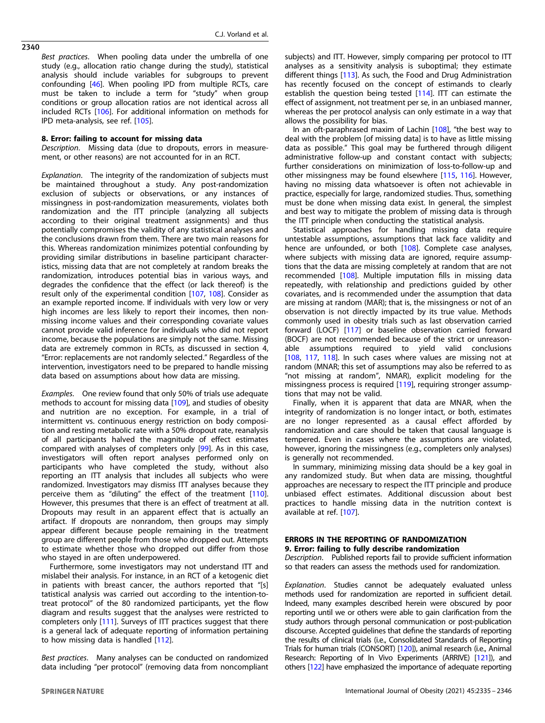Best practices. When pooling data under the umbrella of one study (e.g., allocation ratio change during the study), statistical analysis should include variables for subgroups to prevent confounding [[46\]](#page-8-0). When pooling IPD from multiple RCTs, care must be taken to include a term for "study" when group conditions or group allocation ratios are not identical across all included RCTs [[106\]](#page-9-0). For additional information on methods for IPD meta-analysis, see ref. [\[105](#page-9-0)].

# 8. Error: failing to account for missing data

Description. Missing data (due to dropouts, errors in measurement, or other reasons) are not accounted for in an RCT.

Explanation. The integrity of the randomization of subjects must be maintained throughout a study. Any post-randomization exclusion of subjects or observations, or any instances of missingness in post-randomization measurements, violates both randomization and the ITT principle (analyzing all subjects according to their original treatment assignments) and thus potentially compromises the validity of any statistical analyses and the conclusions drawn from them. There are two main reasons for this. Whereas randomization minimizes potential confounding by providing similar distributions in baseline participant characteristics, missing data that are not completely at random breaks the randomization, introduces potential bias in various ways, and degrades the confidence that the effect (or lack thereof) is the result only of the experimental condition [\[107,](#page-9-0) [108\]](#page-9-0). Consider as an example reported income. If individuals with very low or very high incomes are less likely to report their incomes, then nonmissing income values and their corresponding covariate values cannot provide valid inference for individuals who did not report income, because the populations are simply not the same. Missing data are extremely common in RCTs, as discussed in section 4, "Error: replacements are not randomly selected." Regardless of the intervention, investigators need to be prepared to handle missing data based on assumptions about how data are missing.

Examples. One review found that only 50% of trials use adequate methods to account for missing data [[109](#page-9-0)], and studies of obesity and nutrition are no exception. For example, in a trial of intermittent vs. continuous energy restriction on body composition and resting metabolic rate with a 50% dropout rate, reanalysis of all participants halved the magnitude of effect estimates compared with analyses of completers only [\[99](#page-9-0)]. As in this case, investigators will often report analyses performed only on participants who have completed the study, without also reporting an ITT analysis that includes all subjects who were randomized. Investigators may dismiss ITT analyses because they perceive them as "diluting" the effect of the treatment [\[110](#page-9-0)]. However, this presumes that there is an effect of treatment at all. Dropouts may result in an apparent effect that is actually an artifact. If dropouts are nonrandom, then groups may simply appear different because people remaining in the treatment group are different people from those who dropped out. Attempts to estimate whether those who dropped out differ from those who stayed in are often underpowered.

Furthermore, some investigators may not understand ITT and mislabel their analysis. For instance, in an RCT of a ketogenic diet in patients with breast cancer, the authors reported that "[s] tatistical analysis was carried out according to the intention-totreat protocol" of the 80 randomized participants, yet the flow diagram and results suggest that the analyses were restricted to completers only [\[111](#page-9-0)]. Surveys of ITT practices suggest that there is a general lack of adequate reporting of information pertaining to how missing data is handled [\[112](#page-9-0)].

Best practices. Many analyses can be conducted on randomized data including "per protocol" (removing data from noncompliant subjects) and ITT. However, simply comparing per protocol to ITT analyses as a sensitivity analysis is suboptimal; they estimate different things [[113](#page-9-0)]. As such, the Food and Drug Administration has recently focused on the concept of estimands to clearly establish the question being tested [[114](#page-9-0)]. ITT can estimate the effect of assignment, not treatment per se, in an unbiased manner, whereas the per protocol analysis can only estimate in a way that allows the possibility for bias.

In an oft-paraphrased maxim of Lachin [[108\]](#page-9-0), "the best way to deal with the problem [of missing data] is to have as little missing data as possible." This goal may be furthered through diligent administrative follow-up and constant contact with subjects; further considerations on minimization of loss-to-follow-up and other missingness may be found elsewhere [\[115,](#page-9-0) [116\]](#page-9-0). However, having no missing data whatsoever is often not achievable in practice, especially for large, randomized studies. Thus, something must be done when missing data exist. In general, the simplest and best way to mitigate the problem of missing data is through the ITT principle when conducting the statistical analysis.

Statistical approaches for handling missing data require untestable assumptions, assumptions that lack face validity and hence are unfounded, or both [\[108\]](#page-9-0). Complete case analyses, where subjects with missing data are ignored, require assumptions that the data are missing completely at random that are not recommended [\[108\]](#page-9-0). Multiple imputation fills in missing data repeatedly, with relationship and predictions guided by other covariates, and is recommended under the assumption that data are missing at random (MAR); that is, the missingness or not of an observation is not directly impacted by its true value. Methods commonly used in obesity trials such as last observation carried forward (LOCF) [[117](#page-9-0)] or baseline observation carried forward (BOCF) are not recommended because of the strict or unreasonable assumptions required to yield valid conclusions [[108,](#page-9-0) [117](#page-9-0), [118\]](#page-9-0). In such cases where values are missing not at random (MNAR; this set of assumptions may also be referred to as "not missing at random", NMAR), explicit modeling for the missingness process is required [[119\]](#page-9-0), requiring stronger assumptions that may not be valid.

Finally, when it is apparent that data are MNAR, when the integrity of randomization is no longer intact, or both, estimates are no longer represented as a causal effect afforded by randomization and care should be taken that causal language is tempered. Even in cases where the assumptions are violated, however, ignoring the missingness (e.g., completers only analyses) is generally not recommended.

In summary, minimizing missing data should be a key goal in any randomized study. But when data are missing, thoughtful approaches are necessary to respect the ITT principle and produce unbiased effect estimates. Additional discussion about best practices to handle missing data in the nutrition context is available at ref. [[107](#page-9-0)].

# ERRORS IN THE REPORTING OF RANDOMIZATION 9. Error: failing to fully describe randomization

Description. Published reports fail to provide sufficient information so that readers can assess the methods used for randomization.

Explanation. Studies cannot be adequately evaluated unless methods used for randomization are reported in sufficient detail. Indeed, many examples described herein were obscured by poor reporting until we or others were able to gain clarification from the study authors through personal communication or post-publication discourse. Accepted guidelines that define the standards of reporting the results of clinical trials (i.e., Consolidated Standards of Reporting Trials for human trials (CONSORT) [\[120](#page-9-0)]), animal research (i.e., Animal Research: Reporting of In Vivo Experiments (ARRIVE) [\[121](#page-9-0)]), and others [[122\]](#page-9-0) have emphasized the importance of adequate reporting

2340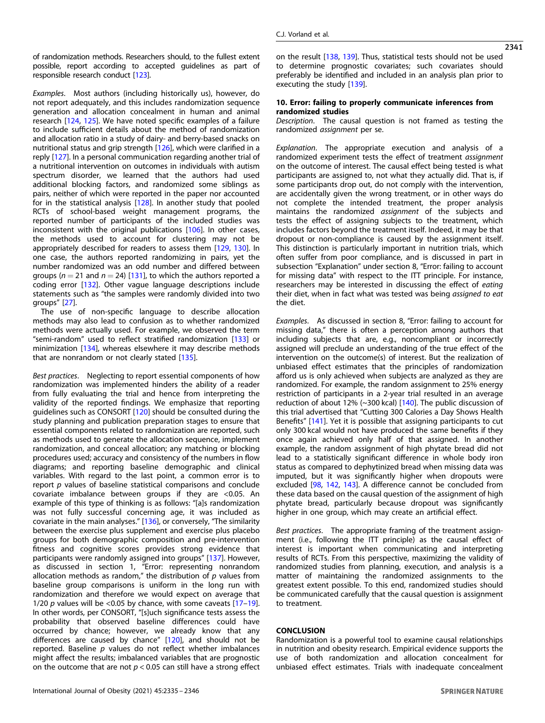of randomization methods. Researchers should, to the fullest extent possible, report according to accepted guidelines as part of responsible research conduct [[123\]](#page-9-0).

Examples. Most authors (including historically us), however, do not report adequately, and this includes randomization sequence generation and allocation concealment in human and animal research [[124,](#page-9-0) [125](#page-9-0)]. We have noted specific examples of a failure to include sufficient details about the method of randomization and allocation ratio in a study of dairy- and berry-based snacks on nutritional status and grip strength [\[126\]](#page-9-0), which were clarified in a reply [\[127\]](#page-9-0). In a personal communication regarding another trial of a nutritional intervention on outcomes in individuals with autism spectrum disorder, we learned that the authors had used additional blocking factors, and randomized some siblings as pairs, neither of which were reported in the paper nor accounted for in the statistical analysis [[128](#page-9-0)]. In another study that pooled RCTs of school-based weight management programs, the reported number of participants of the included studies was inconsistent with the original publications [[106](#page-9-0)]. In other cases, the methods used to account for clustering may not be appropriately described for readers to assess them [[129,](#page-9-0) [130](#page-9-0)]. In one case, the authors reported randomizing in pairs, yet the number randomized was an odd number and differed between groups ( $n = 21$  and  $n = 24$ ) [[131\]](#page-9-0), to which the authors reported a coding error [\[132](#page-9-0)]. Other vague language descriptions include statements such as "the samples were randomly divided into two groups" [[27\]](#page-7-0).

The use of non-specific language to describe allocation methods may also lead to confusion as to whether randomized methods were actually used. For example, we observed the term "semi-random" used to reflect stratified randomization [[133](#page-10-0)] or minimization [[134](#page-10-0)], whereas elsewhere it may describe methods that are nonrandom or not clearly stated [[135\]](#page-10-0).

Best practices. Neglecting to report essential components of how randomization was implemented hinders the ability of a reader from fully evaluating the trial and hence from interpreting the validity of the reported findings. We emphasize that reporting guidelines such as CONSORT [[120\]](#page-9-0) should be consulted during the study planning and publication preparation stages to ensure that essential components related to randomization are reported, such as methods used to generate the allocation sequence, implement randomization, and conceal allocation; any matching or blocking procedures used; accuracy and consistency of the numbers in flow diagrams; and reporting baseline demographic and clinical variables. With regard to the last point, a common error is to report  $p$  values of baseline statistical comparisons and conclude covariate imbalance between groups if they are <0.05. An example of this type of thinking is as follows: "[a]s randomization was not fully successful concerning age, it was included as covariate in the main analyses." [[136](#page-10-0)], or conversely, "The similarity between the exercise plus supplement and exercise plus placebo groups for both demographic composition and pre-intervention fitness and cognitive scores provides strong evidence that participants were randomly assigned into groups" [\[137](#page-10-0)]. However, as discussed in section 1, "Error: representing nonrandom allocation methods as random," the distribution of  $p$  values from baseline group comparisons is uniform in the long run with randomization and therefore we would expect on average that 1/20  $p$  values will be <0.05 by chance, with some caveats  $[17-19]$  $[17-19]$  $[17-19]$  $[17-19]$ . In other words, per CONSORT, "[s]uch significance tests assess the probability that observed baseline differences could have occurred by chance; however, we already know that any differences are caused by chance" [[120\]](#page-9-0), and should not be reported. Baseline  $p$  values do not reflect whether imbalances might affect the results; imbalanced variables that are prognostic on the outcome that are not  $p < 0.05$  can still have a strong effect

on the result [\[138,](#page-10-0) [139](#page-10-0)]. Thus, statistical tests should not be used to determine prognostic covariates; such covariates should preferably be identified and included in an analysis plan prior to executing the study [\[139\]](#page-10-0).

## 10. Error: failing to properly communicate inferences from randomized studies

Description. The causal question is not framed as testing the randomized assignment per se.

Explanation. The appropriate execution and analysis of a randomized experiment tests the effect of treatment assignment on the outcome of interest. The causal effect being tested is what participants are assigned to, not what they actually did. That is, if some participants drop out, do not comply with the intervention, are accidentally given the wrong treatment, or in other ways do not complete the intended treatment, the proper analysis maintains the randomized assignment of the subjects and tests the effect of assigning subjects to the treatment, which includes factors beyond the treatment itself. Indeed, it may be that dropout or non-compliance is caused by the assignment itself. This distinction is particularly important in nutrition trials, which often suffer from poor compliance, and is discussed in part in subsection "Explanation" under section 8, "Error: failing to account for missing data" with respect to the ITT principle. For instance, researchers may be interested in discussing the effect of eating their diet, when in fact what was tested was being assigned to eat the diet.

Examples. As discussed in section 8, "Error: failing to account for missing data," there is often a perception among authors that including subjects that are, e.g., noncompliant or incorrectly assigned will preclude an understanding of the true effect of the intervention on the outcome(s) of interest. But the realization of unbiased effect estimates that the principles of randomization afford us is only achieved when subjects are analyzed as they are randomized. For example, the random assignment to 25% energy restriction of participants in a 2-year trial resulted in an average reduction of about 12% (~300 kcal) [\[140\]](#page-10-0). The public discussion of this trial advertised that "Cutting 300 Calories a Day Shows Health Benefits" [\[141\]](#page-10-0). Yet it is possible that assigning participants to cut only 300 kcal would not have produced the same benefits if they once again achieved only half of that assigned. In another example, the random assignment of high phytate bread did not lead to a statistically significant difference in whole body iron status as compared to dephytinized bread when missing data was imputed, but it was significantly higher when dropouts were excluded [[98](#page-9-0), [142](#page-10-0), [143](#page-10-0)]. A difference cannot be concluded from these data based on the causal question of the assignment of high phytate bread, particularly because dropout was significantly higher in one group, which may create an artificial effect.

Best practices. The appropriate framing of the treatment assignment (i.e., following the ITT principle) as the causal effect of interest is important when communicating and interpreting results of RCTs. From this perspective, maximizing the validity of randomized studies from planning, execution, and analysis is a matter of maintaining the randomized assignments to the greatest extent possible. To this end, randomized studies should be communicated carefully that the causal question is assignment to treatment.

# **CONCLUSION**

Randomization is a powerful tool to examine causal relationships in nutrition and obesity research. Empirical evidence supports the use of both randomization and allocation concealment for unbiased effect estimates. Trials with inadequate concealment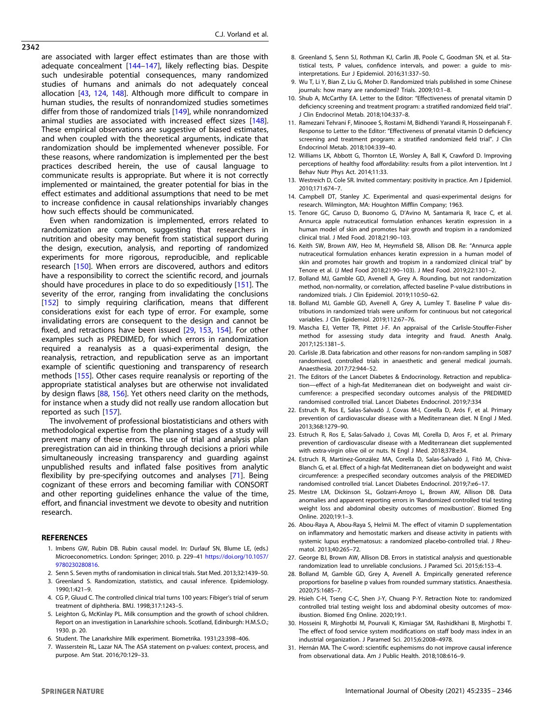<span id="page-7-0"></span>are associated with larger effect estimates than are those with adequate concealment [\[144](#page-10-0)–[147](#page-10-0)], likely reflecting bias. Despite such undesirable potential consequences, many randomized studies of humans and animals do not adequately conceal allocation [[43](#page-8-0), [124](#page-9-0), [148\]](#page-10-0). Although more difficult to compare in human studies, the results of nonrandomized studies sometimes differ from those of randomized trials [[149](#page-10-0)], while nonrandomized animal studies are associated with increased effect sizes [\[148](#page-10-0)]. These empirical observations are suggestive of biased estimates, and when coupled with the theoretical arguments, indicate that randomization should be implemented whenever possible. For these reasons, where randomization is implemented per the best practices described herein, the use of causal language to communicate results is appropriate. But where it is not correctly implemented or maintained, the greater potential for bias in the effect estimates and additional assumptions that need to be met to increase confidence in causal relationships invariably changes how such effects should be communicated.

Even when randomization is implemented, errors related to randomization are common, suggesting that researchers in nutrition and obesity may benefit from statistical support during the design, execution, analysis, and reporting of randomized experiments for more rigorous, reproducible, and replicable research [\[150\]](#page-10-0). When errors are discovered, authors and editors have a responsibility to correct the scientific record, and journals should have procedures in place to do so expeditiously [[151\]](#page-10-0). The severity of the error, ranging from invalidating the conclusions [[152\]](#page-10-0) to simply requiring clarification, means that different considerations exist for each type of error. For example, some invalidating errors are consequent to the design and cannot be fixed, and retractions have been issued [29, [153](#page-10-0), [154](#page-10-0)]. For other examples such as PREDIMED, for which errors in randomization required a reanalysis as a quasi-experimental design, the reanalysis, retraction, and republication serve as an important example of scientific questioning and transparency of research methods [\[155\]](#page-10-0). Other cases require reanalysis or reporting of the appropriate statistical analyses but are otherwise not invalidated by design flaws [\[88](#page-9-0), [156](#page-10-0)]. Yet others need clarity on the methods, for instance when a study did not really use random allocation but reported as such [[157](#page-10-0)].

The involvement of professional biostatisticians and others with methodological expertise from the planning stages of a study will prevent many of these errors. The use of trial and analysis plan preregistration can aid in thinking through decisions a priori while simultaneously increasing transparency and guarding against unpublished results and inflated false positives from analytic flexibility by pre-specifying outcomes and analyses [\[71](#page-8-0)]. Being cognizant of these errors and becoming familiar with CONSORT and other reporting guidelines enhance the value of the time, effort, and financial investment we devote to obesity and nutrition research.

# **REFERENCES**

- 1. Imbens GW, Rubin DB. Rubin causal model. In: Durlauf SN, Blume LE, (eds.) Microeconometrics. London: Springer; 2010. p. 229–41 [https://doi.org/10.1057/](https://doi.org/10.1057/9780230280816) [9780230280816](https://doi.org/10.1057/9780230280816).
- 2. Senn S. Seven myths of randomisation in clinical trials. Stat Med. 2013;32:1439–50.
- 3. Greenland S. Randomization, statistics, and causal inference. Epidemiology. 1990;1:421–9.
- 4. CG P, Gluud C. The controlled clinical trial turns 100 years: Fibiger's trial of serum treatment of diphtheria. BMJ. 1998;317:1243–5.
- 5. Leighton G, McKinlay PL. Milk consumption and the growth of school children. Report on an investigation in Lanarkshire schools. Scotland, Edinburgh: H.M.S.O.; 1930. p. 20.
- 6. Student. The Lanarkshire Milk experiment. Biometrika. 1931;23:398–406.
- 7. Wasserstein RL, Lazar NA. The ASA statement on p-values: context, process, and purpose. Am Stat. 2016;70:129–33.
- 8. Greenland S, Senn SJ, Rothman KJ, Carlin JB, Poole C, Goodman SN, et al. Statistical tests, P values, confidence intervals, and power: a guide to misinterpretations. Eur J Epidemiol. 2016;31:337–50.
- 9. Wu T, Li Y, Bian Z, Liu G, Moher D. Randomized trials published in some Chinese journals: how many are randomized? Trials. 2009;10:1–8.
- 10. Shub A, McCarthy EA. Letter to the Editor: "Effectiveness of prenatal vitamin D deficiency screening and treatment program: a stratified randomized field trial". J Clin Endocrinol Metab. 2018;104:337–8.
- 11. Ramezani Tehrani F, Minooee S, Rostami M, Bidhendi Yarandi R, Hosseinpanah F. Response to Letter to the Editor: "Effectiveness of prenatal vitamin D deficiency screening and treatment program: a stratified randomized field trial". J Clin Endocrinol Metab. 2018;104:339–40.
- 12. Williams LK, Abbott G, Thornton LE, Worsley A, Ball K, Crawford D. Improving perceptions of healthy food affordability: results from a pilot intervention. Int J Behav Nutr Phys Act. 2014;11:33.
- 13. Westreich D, Cole SR. Invited commentary: positivity in practice. Am J Epidemiol. 2010;171:674–7.
- 14. Campbell DT, Stanley JC. Experimental and quasi-experimental designs for research. Wilmington, MA: Houghton Mifflin Company; 1963.
- 15. Tenore GC, Caruso D, Buonomo G, D'Avino M, Santamaria R, Irace C, et al. Annurca apple nutraceutical formulation enhances keratin expression in a human model of skin and promotes hair growth and tropism in a randomized clinical trial. J Med Food. 2018;21:90–103.
- 16. Keith SW, Brown AW, Heo M, Heymsfield SB, Allison DB. Re: "Annurca apple nutraceutical formulation enhances keratin expression in a human model of skin and promotes hair growth and tropism in a randomized clinical trial" by Tenore et al. (J Med Food 2018;21:90–103). J Med Food. 2019;22:1301–2.
- 17. Bolland MJ, Gamble GD, Avenell A, Grey A. Rounding, but not randomization method, non-normality, or correlation, affected baseline P-value distributions in randomized trials. J Clin Epidemiol. 2019;110:50–62.
- 18. Bolland MJ, Gamble GD, Avenell A, Grey A, Lumley T. Baseline P value distributions in randomized trials were uniform for continuous but not categorical variables. J Clin Epidemiol. 2019;112:67–76.
- 19. Mascha EJ, Vetter TR, Pittet J-F. An appraisal of the Carlisle-Stouffer-Fisher method for assessing study data integrity and fraud. Anesth Analg. 2017;125:1381–5.
- 20. Carlisle JB. Data fabrication and other reasons for non-random sampling in 5087 randomised, controlled trials in anaesthetic and general medical journals. Anaesthesia. 2017;72:944–52.
- 21. The Editors of the Lancet Diabetes & Endocrinology. Retraction and republication—effect of a high-fat Mediterranean diet on bodyweight and waist circumference: a prespecified secondary outcomes analysis of the PREDIMED randomised controlled trial. Lancet Diabetes Endocrinol. 2019;7:334
- 22. Estruch R, Ros E, Salas-Salvadó J, Covas M-I, Corella D, Arós F, et al. Primary prevention of cardiovascular disease with a Mediterranean diet. N Engl J Med. 2013;368:1279–90.
- 23. Estruch R, Ros E, Salas-Salvado J, Covas MI, Corella D, Aros F, et al. Primary prevention of cardiovascular disease with a Mediterranean diet supplemented with extra-virgin olive oil or nuts. N Engl J Med. 2018;378:e34.
- 24. Estruch R, Martínez-González MA, Corella D, Salas-Salvadó J, Fitó M, Chiva-Blanch G, et al. Effect of a high-fat Mediterranean diet on bodyweight and waist circumference: a prespecified secondary outcomes analysis of the PREDIMED randomised controlled trial. Lancet Diabetes Endocrinol. 2019;7:e6–17.
- 25. Mestre LM, Dickinson SL, Golzarri-Arroyo L, Brown AW, Allison DB. Data anomalies and apparent reporting errors in 'Randomized controlled trial testing weight loss and abdominal obesity outcomes of moxibustion'. Biomed Eng Online. 2020;19:1–3.
- 26. Abou-Raya A, Abou-Raya S, Helmii M. The effect of vitamin D supplementation on inflammatory and hemostatic markers and disease activity in patients with systemic lupus erythematosus: a randomized placebo-controlled trial. J Rheumatol. 2013;40:265–72.
- 27. George BJ, Brown AW, Allison DB. Errors in statistical analysis and questionable randomization lead to unreliable conclusions. J Paramed Sci. 2015;6:153–4.
- 28. Bolland M, Gamble GD, Grey A, Avenell A. Empirically generated reference proportions for baseline p values from rounded summary statistics. Anaesthesia. 2020;75:1685–7.
- 29. Hsieh C-H, Tseng C-C, Shen J-Y, Chuang P-Y. Retraction Note to: randomized controlled trial testing weight loss and abdominal obesity outcomes of moxibustion. Biomed Eng Online. 2020;19:1.
- 30. Hosseini R, Mirghotbi M, Pourvali K, Kimiagar SM, Rashidkhani B, Mirghotbi T. The effect of food service system modifications on staff body mass index in an industrial organization. J Paramed Sci. 2015;6:2008–4978.
- 31. Hernán MA. The C-word: scientific euphemisms do not improve causal inference from observational data. Am J Public Health. 2018;108:616–9.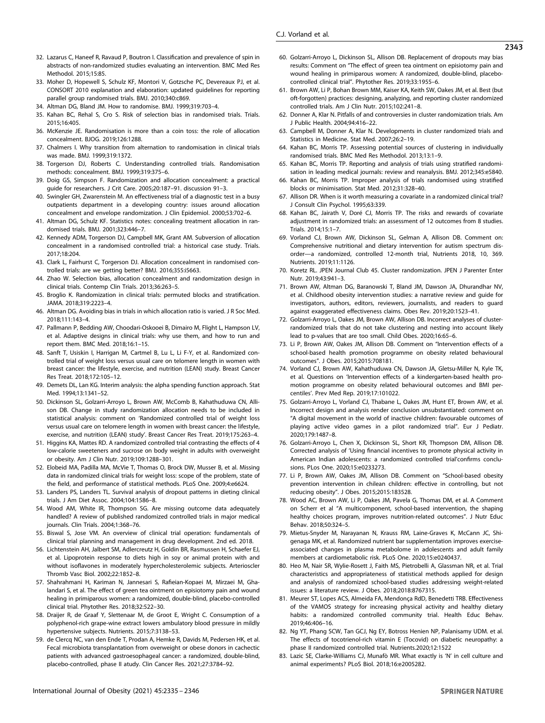- <span id="page-8-0"></span>32. Lazarus C, Haneef R, Ravaud P, Boutron I. Classification and prevalence of spin in abstracts of non-randomized studies evaluating an intervention. BMC Med Res Methodol. 2015;15:85.
- 33. Moher D, Hopewell S, Schulz KF, Montori V, Gotzsche PC, Devereaux PJ, et al. CONSORT 2010 explanation and elaboration: updated guidelines for reporting parallel group randomised trials. BMJ. 2010;340:c869.
- 34. Altman DG, Bland JM. How to randomise. BMJ. 1999;319:703–4.
- 35. Kahan BC, Rehal S, Cro S. Risk of selection bias in randomised trials. Trials. 2015;16:405.
- 36. McKenzie JE. Randomisation is more than a coin toss: the role of allocation concealment. BJOG. 2019;126:1288.
- 37. Chalmers I. Why transition from alternation to randomisation in clinical trials was made. BMJ. 1999;319:1372.
- 38. Torgerson DJ, Roberts C. Understanding controlled trials. Randomisation methods: concealment. BMJ. 1999;319:375–6.
- 39. Doig GS, Simpson F. Randomization and allocation concealment: a practical guide for researchers. J Crit Care. 2005;20:187–91. discussion 91–3.
- 40. Swingler GH, Zwarenstein M. An effectiveness trial of a diagnostic test in a busy outpatients department in a developing country: issues around allocation concealment and envelope randomization. J Clin Epidemiol. 2000;53:702–6.
- 41. Altman DG, Schulz KF. Statistics notes: concealing treatment allocation in randomised trials. BMJ. 2001;323:446–7.
- 42. Kennedy ADM, Torgerson DJ, Campbell MK, Grant AM. Subversion of allocation concealment in a randomised controlled trial: a historical case study. Trials. 2017;18:204.
- 43. Clark L, Fairhurst C, Torgerson DJ. Allocation concealment in randomised controlled trials: are we getting better? BMJ. 2016;355:i5663.
- 44. Zhao W. Selection bias, allocation concealment and randomization design in clinical trials. Contemp Clin Trials. 2013;36:263–5.
- 45. Broglio K. Randomization in clinical trials: permuted blocks and stratification. JAMA. 2018;319:2223–4.
- 46. Altman DG. Avoiding bias in trials in which allocation ratio is varied. J R Soc Med. 2018;111:143–4.
- 47. Pallmann P, Bedding AW, Choodari-Oskooei B, Dimairo M, Flight L, Hampson LV, et al. Adaptive designs in clinical trials: why use them, and how to run and report them. BMC Med. 2018;16:1–15.
- 48. Sanft T, Usiskin I, Harrigan M, Cartmel B, Lu L, Li F-Y, et al. Randomized controlled trial of weight loss versus usual care on telomere length in women with breast cancer: the lifestyle, exercise, and nutrition (LEAN) study. Breast Cancer Res Treat. 2018;172:105–12.
- 49. Demets DL, Lan KG. Interim analysis: the alpha spending function approach. Stat Med. 1994;13:1341–52.
- 50. Dickinson SL, Golzarri-Arroyo L, Brown AW, McComb B, Kahathuduwa CN, Allison DB. Change in study randomization allocation needs to be included in statistical analysis: comment on 'Randomized controlled trial of weight loss versus usual care on telomere length in women with breast cancer: the lifestyle, exercise, and nutrition (LEAN) study'. Breast Cancer Res Treat. 2019;175:263–4.
- 51. Higgins KA, Mattes RD. A randomized controlled trial contrasting the effects of 4 low-calorie sweeteners and sucrose on body weight in adults with overweight or obesity. Am J Clin Nutr. 2019;109:1288–301.
- 52. Elobeid MA, Padilla MA, McVie T, Thomas O, Brock DW, Musser B, et al. Missing data in randomized clinical trials for weight loss: scope of the problem, state of the field, and performance of statistical methods. PLoS One. 2009;4:e6624.
- 53. Landers PS, Landers TL. Survival analysis of dropout patterns in dieting clinical trials. J Am Diet Assoc. 2004;104:1586–8.
- 54. Wood AM, White IR, Thompson SG. Are missing outcome data adequately handled? A review of published randomized controlled trials in major medical journals. Clin Trials. 2004;1:368–76.
- 55. Biswal S, Jose VM. An overview of clinical trial operation: fundamentals of clinical trial planning and management in drug development. 2nd ed. 2018.
- 56. Lichtenstein AH, Jalbert SM, Adlercreutz H, Goldin BR, Rasmussen H, Schaefer EJ, et al. Lipoprotein response to diets high in soy or animal protein with and without isoflavones in moderately hypercholesterolemic subjects. Arterioscler Thromb Vasc Biol. 2002;22:1852–8.
- 57. Shahrahmani H, Kariman N, Jannesari S, Rafieian‐Kopaei M, Mirzaei M, Ghalandari S, et al. The effect of green tea ointment on episiotomy pain and wound healing in primiparous women: a randomized, double‐blind, placebo‐controlled clinical trial. Phytother Res. 2018;32:522–30.
- 58. Draijer R, de Graaf Y, Slettenaar M, de Groot E, Wright C. Consumption of a polyphenol-rich grape-wine extract lowers ambulatory blood pressure in mildly hypertensive subjects. Nutrients. 2015;7:3138–53.
- 59. de Clercq NC, van den Ende T, Prodan A, Hemke R, Davids M, Pedersen HK, et al. Fecal microbiota transplantation from overweight or obese donors in cachectic patients with advanced gastroesophageal cancer: a randomized, double-blind, placebo-controlled, phase II atudy. Clin Cancer Res. 2021;27:3784–92.
- 60. Golzarri-Arroyo L, Dickinson SL, Allison DB. Replacement of dropouts may bias results: Comment on "The effect of green tea ointment on episiotomy pain and wound healing in primiparous women: A randomized, double-blind, placebocontrolled clinical trial". Phytother Res. 2019;33:1955–6.
- 61. Brown AW, Li P, Bohan Brown MM, Kaiser KA, Keith SW, Oakes JM, et al. Best (but oft-forgotten) practices: designing, analyzing, and reporting cluster randomized controlled trials. Am J Clin Nutr. 2015;102:241–8.
- 62. Donner A, Klar N. Pitfalls of and controversies in cluster randomization trials. Am J Public Health. 2004;94:416–22.
- 63. Campbell M, Donner A, Klar N. Developments in cluster randomized trials and Statistics in Medicine. Stat Med. 2007;26:2–19.
- 64. Kahan BC, Morris TP. Assessing potential sources of clustering in individually randomised trials. BMC Med Res Methodol. 2013;13:1–9.
- 65. Kahan BC, Morris TP. Reporting and analysis of trials using stratified randomisation in leading medical journals: review and reanalysis. BMJ. 2012;345:e5840.
- 66. Kahan BC, Morris TP. Improper analysis of trials randomised using stratified blocks or minimisation. Stat Med. 2012;31:328–40.
- 67. Allison DR. When is it worth measuring a covariate in a randomized clinical trial? J Consult Clin Psychol. 1995;63:339.
- 68. Kahan BC, Jairath V, Doré CJ, Morris TP. The risks and rewards of covariate adjustment in randomized trials: an assessment of 12 outcomes from 8 studies. Trials. 2014;15:1–7.
- 69. Vorland CJ, Brown AW, Dickinson SL, Gelman A, Allison DB. Comment on: Comprehensive nutritional and dietary intervention for autism spectrum disorder—a randomized, controlled 12-month trial, Nutrients 2018, 10, 369. Nutrients. 2019;11:1126.
- 70. Koretz RL. JPEN Journal Club 45. Cluster randomization. JPEN J Parenter Enter Nutr. 2019;43:941–3.
- 71. Brown AW, Altman DG, Baranowski T, Bland JM, Dawson JA, Dhurandhar NV, et al. Childhood obesity intervention studies: a narrative review and guide for investigators, authors, editors, reviewers, journalists, and readers to guard against exaggerated effectiveness claims. Obes Rev. 2019;20:1523–41.
- 72. Golzarri-Arroyo L, Oakes JM, Brown AW, Allison DB. Incorrect analyses of clusterrandomized trials that do not take clustering and nesting into account likely lead to p-values that are too small. Child Obes. 2020;16:65–6.
- 73. Li P, Brown AW, Oakes JM, Allison DB. Comment on "Intervention effects of a school-based health promotion programme on obesity related behavioural outcomes". J Obes. 2015;2015:708181.
- 74. Vorland CJ, Brown AW, Kahathuduwa CN, Dawson JA, Gletsu-Miller N, Kyle TK, et al. Questions on 'Intervention effects of a kindergarten-based health promotion programme on obesity related behavioural outcomes and BMI percentiles'. Prev Med Rep. 2019;17:101022.
- 75. Golzarri-Arroyo L, Vorland CJ, Thabane L, Oakes JM, Hunt ET, Brown AW, et al. Incorrect design and analysis render conclusion unsubstantiated: comment on "A digital movement in the world of inactive children: favourable outcomes of playing active video games in a pilot randomized trial". Eur J Pediatr. 2020;179:1487–8.
- 76. Golzarri-Arroyo L, Chen X, Dickinson SL, Short KR, Thompson DM, Allison DB. Corrected analysis of 'Using financial incentives to promote physical activity in American Indian adolescents: a randomized controlled trial'confirms conclusions. PLos One. 2020;15:e0233273.
- 77. Li P, Brown AW, Oakes JM, Allison DB. Comment on "School-based obesity prevention intervention in chilean children: effective in controlling, but not reducing obesity". J Obes. 2015;2015:183528.
- 78. Wood AC, Brown AW, Li P, Oakes JM, Pavela G, Thomas DM, et al. A Comment on Scherr et al "A multicomponent, school-based intervention, the shaping healthy choices program, improves nutrition-related outcomes". J Nutr Educ Behav. 2018;50:324–5.
- 79. Mietus-Snyder M, Narayanan N, Krauss RM, Laine-Graves K, McCann JC, Shigenaga MK, et al. Randomized nutrient bar supplementation improves exerciseassociated changes in plasma metabolome in adolescents and adult family members at cardiometabolic risk. PLoS One. 2020;15:e0240437.
- 80. Heo M, Nair SR, Wylie-Rosett J, Faith MS, Pietrobelli A, Glassman NR, et al. Trial characteristics and appropriateness of statistical methods applied for design and analysis of randomized school-based studies addressing weight-related issues: a literature review. J Obes. 2018;2018:8767315.
- 81. Meurer ST, Lopes ACS, Almeida FA, Mendonça RdD, Benedetti TRB. Effectiveness of the VAMOS strategy for increasing physical activity and healthy dietary habits: a randomized controlled community trial. Health Educ Behav. 2019;46:406–16.
- 82. Ng YT, Phang SCW, Tan GCJ, Ng EY, Botross Henien NP, Palanisamy UDM. et al. The effects of tocotrienol-rich vitamin E (Tocovid) on diabetic neuropathy: a phase II randomized controlled trial. Nutrients.2020;12:1522
- 83. Lazic SE, Clarke-Williams CJ, Munafò MR. What exactly is 'N' in cell culture and animal experiments? PLoS Biol. 2018;16:e2005282.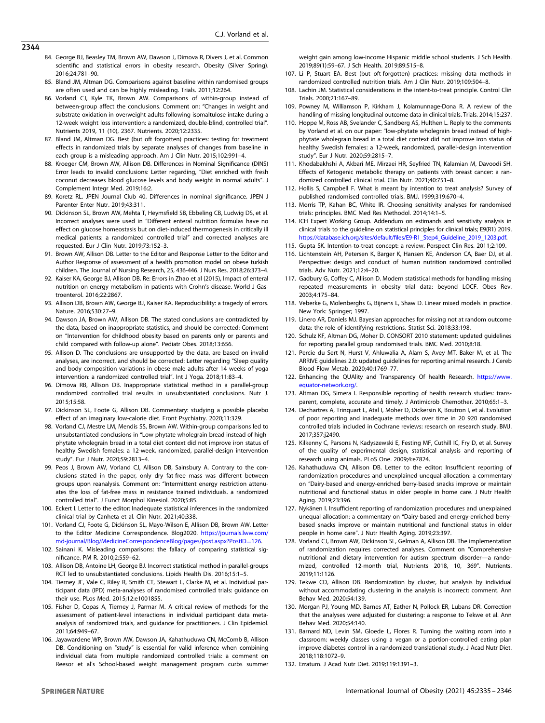- <span id="page-9-0"></span>84. George BJ, Beasley TM, Brown AW, Dawson J, Dimova R, Divers J, et al. Common scientific and statistical errors in obesity research. Obesity (Silver Spring). 2016;24:781–90.
- 85. Bland JM, Altman DG. Comparisons against baseline within randomised groups are often used and can be highly misleading. Trials. 2011;12:264.
- 86. Vorland CJ, Kyle TK, Brown AW. Comparisons of within-group instead of between-group affect the conclusions. Comment on: "Changes in weight and substrate oxidation in overweight adults following isomaltulose intake during a 12-week weight loss intervention: a randomized, double-blind, controlled trial". Nutrients 2019, 11 (10), 2367. Nutrients. 2020;12:2335.
- 87. Bland JM, Altman DG. Best (but oft forgotten) practices: testing for treatment effects in randomized trials by separate analyses of changes from baseline in each group is a misleading approach. Am J Clin Nutr. 2015;102:991–4.
- 88. Kroeger CM, Brown AW, Allison DB. Differences in Nominal Significance (DINS) Error leads to invalid conclusions: Letter regarding, "Diet enriched with fresh coconut decreases blood glucose levels and body weight in normal adults". J Complement Integr Med. 2019;16:2.
- 89. Koretz RL. JPEN Journal Club 40. Differences in nominal significance. JPEN J Parenter Enter Nutr. 2019;43:311.
- 90. Dickinson SL, Brown AW, Mehta T, Heymsfield SB, Ebbeling CB, Ludwig DS, et al. Incorrect analyses were used in "Different enteral nutrition formulas have no effect on glucose homeostasis but on diet-induced thermogenesis in critically ill medical patients: a randomized controlled trial" and corrected analyses are requested. Eur J Clin Nutr. 2019;73:152–3.
- 91. Brown AW, Allison DB. Letter to the Editor and Response Letter to the Editor and Author Response of assessment of a health promotion model on obese turkish children. The Journal of Nursing Research, 25, 436-446. J Nurs Res. 2018;26:373–4.
- 92. Kaiser KA, George BJ, Allison DB. Re: Errors in Zhao et al (2015), Impact of enteral nutrition on energy metabolism in patients with Crohn's disease. World J Gastroenterol. 2016;22:2867.
- 93. Allison DB, Brown AW, George BJ, Kaiser KA. Reproducibility: a tragedy of errors. Nature. 2016;530:27–9.
- 94. Dawson JA, Brown AW, Allison DB. The stated conclusions are contradicted by the data, based on inappropriate statistics, and should be corrected: Comment on "Intervention for childhood obesity based on parents only or parents and child compared with follow-up alone". Pediatr Obes. 2018;13:656.
- 95. Allison D. The conclusions are unsupported by the data, are based on invalid analyses, are incorrect, and should be corrected: Letter regarding "Sleep quality and body composition variations in obese male adults after 14 weeks of yoga intervention: a randomized controlled trial". Int J Yoga. 2018;11:83–4.
- 96. Dimova RB, Allison DB. Inappropriate statistical method in a parallel-group randomized controlled trial results in unsubstantiated conclusions. Nutr J. 2015;15:58.
- 97. Dickinson SL, Foote G, Allison DB. Commentary: studying a possible placebo effect of an imaginary low-calorie diet. Front Psychiatry. 2020;11:329.
- 98. Vorland CJ, Mestre LM, Mendis SS, Brown AW. Within-group comparisons led to unsubstantiated conclusions in "Low-phytate wholegrain bread instead of highphytate wholegrain bread in a total diet context did not improve iron status of healthy Swedish females: a 12-week, randomized, parallel-design intervention study". Eur J Nutr. 2020;59:2813–4.
- 99. Peos J, Brown AW, Vorland CJ, Allison DB, Sainsbury A. Contrary to the conclusions stated in the paper, only dry fat-free mass was different between groups upon reanalysis. Comment on: "Intermittent energy restriction attenuates the loss of fat-free mass in resistance trained individuals. a randomized controlled trial". J Funct Morphol Kinesiol. 2020;5:85.
- 100. Eckert I. Letter to the editor: Inadequate statistical inferences in the randomized clinical trial by Canheta et al. Clin Nutr. 2021;40:338.
- 101. Vorland CJ, Foote G, Dickinson SL, Mayo-Wilson E, Allison DB, Brown AW. Letter to the Editor Medicine Correspondence. Blog2020. [https://journals.lww.com/](https://journals.lww.com/md-journal/Blog/MedicineCorrespondenceBlog/pages/post.aspx?PostID=126) [md-journal/Blog/MedicineCorrespondenceBlog/pages/post.aspx?PostID](https://journals.lww.com/md-journal/Blog/MedicineCorrespondenceBlog/pages/post.aspx?PostID=126)=126.
- 102. Sainani K. Misleading comparisons: the fallacy of comparing statistical significance. PM R. 2010;2:559–62.
- 103. Allison DB, Antoine LH, George BJ. Incorrect statistical method in parallel-groups RCT led to unsubstantiated conclusions. Lipids Health Dis. 2016;15:1–5.
- 104. Tierney JF, Vale C, Riley R, Smith CT, Stewart L, Clarke M, et al. Individual participant data (IPD) meta-analyses of randomised controlled trials: guidance on their use. PLos Med. 2015;12:e1001855.
- 105. Fisher D, Copas A, Tierney J, Parmar M. A critical review of methods for the assessment of patient-level interactions in individual participant data metaanalysis of randomized trials, and guidance for practitioners. J Clin Epidemiol. 2011;64:949–67.
- 106. Jayawardene WP, Brown AW, Dawson JA, Kahathuduwa CN, McComb B, Allison DB. Conditioning on "study" is essential for valid inference when combining individual data from multiple randomized controlled trials: a comment on Reesor et al's School-based weight management program curbs summer

weight gain among low-income Hispanic middle school students. J Sch Health. 2019;89(1):59–67. J Sch Health. 2019;89:515–8.

- 107. Li P, Stuart EA. Best (but oft-forgotten) practices: missing data methods in randomized controlled nutrition trials. Am J Clin Nutr. 2019;109:504–8.
- 108. Lachin JM. Statistical considerations in the intent-to-treat principle. Control Clin Trials. 2000;21:167–89.
- 109. Powney M, Williamson P, Kirkham J, Kolamunnage-Dona R. A review of the handling of missing longitudinal outcome data in clinical trials. Trials. 2014;15:237.
- 110. Hoppe M, Ross AB, Svelander C, Sandberg AS, Hulthen L. Reply to the comments by Vorland et al. on our paper: "low-phytate wholegrain bread instead of highphytate wholegrain bread in a total diet context did not improve iron status of healthy Swedish females: a 12-week, randomized, parallel-design intervention study". Eur J Nutr. 2020;59:2815–7.
- 111. Khodabakhshi A, Akbari ME, Mirzaei HR, Seyfried TN, Kalamian M, Davoodi SH. Effects of Ketogenic metabolic therapy on patients with breast cancer: a randomized controlled clinical trial. Clin Nutr. 2021;40:751–8.
- 112. Hollis S, Campbell F. What is meant by intention to treat analysis? Survey of published randomised controlled trials. BMJ. 1999;319:670–4.
- 113. Morris TP, Kahan BC, White IR. Choosing sensitivity analyses for randomised trials: principles. BMC Med Res Methodol. 2014;14:1–5.
- 114. ICH Expert Working Group. Addendum on estimands and sensitivity analysis in clinical trials to the guideline on statistical principles for clinical trials; E9(R1) 2019. https://database.ich.org/sites/default/fi[les/E9-R1\\_Step4\\_Guideline\\_2019\\_1203.pdf](https://database.ich.org/sites/default/files/E9-R1_Step4_Guideline_2019_1203.pdf).
- 115. Gupta SK. Intention-to-treat concept: a review. Perspect Clin Res. 2011;2:109.
- 116. Lichtenstein AH, Petersen K, Barger K, Hansen KE, Anderson CA, Baer DJ, et al. Perspective: design and conduct of human nutrition randomized controlled trials. Adv Nutr. 2021;12:4–20.
- 117. Gadbury G, Coffey C, Allison D. Modern statistical methods for handling missing repeated measurements in obesity trial data: beyond LOCF. Obes Rev. 2003;4:175–84.
- 118. Veberke G, Molenberghs G, Bijnens L, Shaw D. Linear mixed models in practice. New York: Springer; 1997.
- 119. Linero AR, Daniels MJ. Bayesian approaches for missing not at random outcome data: the role of identifying restrictions. Statist Sci. 2018;33:198.
- 120. Schulz KF, Altman DG, Moher D. CONSORT 2010 statement: updated guidelines for reporting parallel group randomised trials. BMC Med. 2010;8:18.
- 121. Percie du Sert N, Hurst V, Ahluwalia A, Alam S, Avey MT, Baker M, et al. The ARRIVE guidelines 2.0: updated guidelines for reporting animal research. J Cereb Blood Flow Metab. 2020;40:1769–77.
- 122. Enhancing the QUAlity and Transparency Of health Research. [https://www.](https://www.equator-network.org/) [equator-network.org/](https://www.equator-network.org/).
- 123. Altman DG, Simera I. Responsible reporting of health research studies: transparent, complete, accurate and timely. J Antimicrob Chemother. 2010;65:1–3.
- 124. Dechartres A, Trinquart L, Atal I, Moher D, Dickersin K, Boutron I, et al. Evolution of poor reporting and inadequate methods over time in 20 920 randomised controlled trials included in Cochrane reviews: research on research study. BMJ. 2017;357:j2490.
- 125. Kilkenny C, Parsons N, Kadyszewski E, Festing MF, Cuthill IC, Fry D, et al. Survey of the quality of experimental design, statistical analysis and reporting of research using animals. PLoS One. 2009;4:e7824.
- 126. Kahathuduwa CN, Allison DB. Letter to the editor: Insufficient reporting of randomization procedures and unexplained unequal allocation: a commentary on "Dairy-based and energy-enriched berry-based snacks improve or maintain nutritional and functional status in older people in home care. J Nutr Health Aging. 2019;23:396.
- 127. Nykänen I. Insufficient reporting of randomization procedures and unexplained unequal allocation: a commentary on "Dairy-based and energy-enriched berrybased snacks improve or maintain nutritional and functional status in older people in home care". J Nutr Health Aging. 2019;23:397.
- 128. Vorland CJ, Brown AW, Dickinson SL, Gelman A, Allison DB. The implementation of randomization requires corrected analyses. Comment on "Comprehensive nutritional and dietary intervention for autism spectrum disorder—a randomized, controlled 12-month trial, Nutrients 2018, 10, 369". Nutrients. 2019;11:1126.
- 129. Tekwe CD, Allison DB. Randomization by cluster, but analysis by individual without accommodating clustering in the analysis is incorrect: comment. Ann Behav Med. 2020;54:139.
- 130. Morgan PJ, Young MD, Barnes AT, Eather N, Pollock ER, Lubans DR. Correction that the analyses were adjusted for clustering: a response to Tekwe et al. Ann Behav Med. 2020;54:140.
- 131. Barnard ND, Levin SM, Gloede L, Flores R. Turning the waiting room into a classroom: weekly classes using a vegan or a portion-controlled eating plan improve diabetes control in a randomized translational study. J Acad Nutr Diet. 2018;118:1072–9.
- 132. Erratum. J Acad Nutr Diet. 2019;119:1391–3.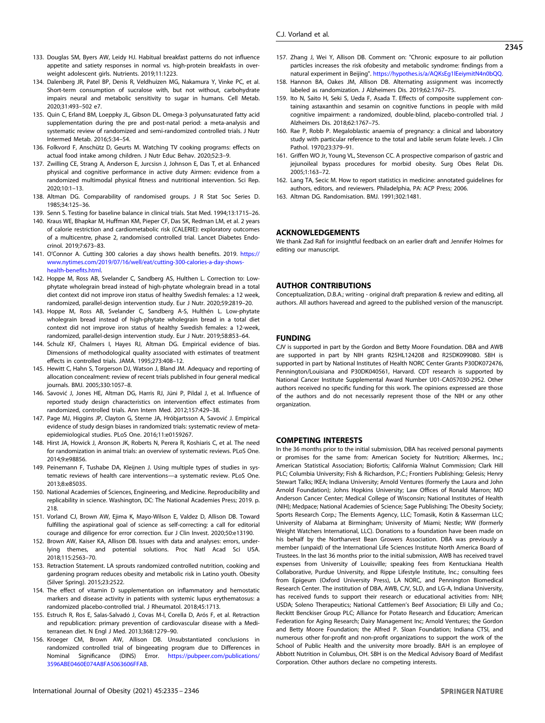- <span id="page-10-0"></span>133. Douglas SM, Byers AW, Leidy HJ. Habitual breakfast patterns do not influence appetite and satiety responses in normal vs. high-protein breakfasts in overweight adolescent girls. Nutrients. 2019;11:1223.
- 134. Dalenberg JR, Patel BP, Denis R, Veldhuizen MG, Nakamura Y, Vinke PC, et al. Short-term consumption of sucralose with, but not without, carbohydrate impairs neural and metabolic sensitivity to sugar in humans. Cell Metab. 2020;31:493–502 e7.
- 135. Quin C, Erland BM, Loeppky JL, Gibson DL. Omega-3 polyunsaturated fatty acid supplementation during the pre and post-natal period: a meta-analysis and systematic review of randomized and semi-randomized controlled trials. J Nutr Intermed Metab. 2016;5:34–54.
- 136. Folkvord F, Anschütz D, Geurts M. Watching TV cooking programs: effects on actual food intake among children. J Nutr Educ Behav. 2020;52:3–9.
- 137. Zwilling CE, Strang A, Anderson E, Jurcsisn J, Johnson E, Das T, et al. Enhanced physical and cognitive performance in active duty Airmen: evidence from a randomized multimodal physical fitness and nutritional intervention. Sci Rep. 2020;10:1–13.
- 138. Altman DG. Comparability of randomised groups. J R Stat Soc Series D. 1985;34:125–36.
- 139. Senn S. Testing for baseline balance in clinical trials. Stat Med. 1994;13:1715–26.
- 140. Kraus WE, Bhapkar M, Huffman KM, Pieper CF, Das SK, Redman LM, et al. 2 years of calorie restriction and cardiometabolic risk (CALERIE): exploratory outcomes of a multicentre, phase 2, randomised controlled trial. Lancet Diabetes Endocrinol. 2019;7:673–83.
- 141. O'Connor A. Cutting 300 calories a day shows health benefits. 2019. [https://](https://www.nytimes.com/2019/07/16/well/eat/cutting-300-calories-a-day-shows-health-benefits.html) [www.nytimes.com/2019/07/16/well/eat/cutting-300-calories-a-day-shows](https://www.nytimes.com/2019/07/16/well/eat/cutting-300-calories-a-day-shows-health-benefits.html)[health-bene](https://www.nytimes.com/2019/07/16/well/eat/cutting-300-calories-a-day-shows-health-benefits.html)fits.html.
- 142. Hoppe M, Ross AB, Svelander C, Sandberg AS, Hulthen L. Correction to: Lowphytate wholegrain bread instead of high-phytate wholegrain bread in a total diet context did not improve iron status of healthy Swedish females: a 12 week, randomized, parallel-design intervention study. Eur J Nutr. 2020;59:2819–20.
- 143. Hoppe M, Ross AB, Svelander C, Sandberg A-S, Hulthén L. Low-phytate wholegrain bread instead of high-phytate wholegrain bread in a total diet context did not improve iron status of healthy Swedish females: a 12-week, randomized, parallel-design intervention study. Eur J Nutr. 2019;58:853–64.
- 144. Schulz KF, Chalmers I, Hayes RJ, Altman DG. Empirical evidence of bias. Dimensions of methodological quality associated with estimates of treatment effects in controlled trials. JAMA. 1995;273:408–12.
- 145. Hewitt C, Hahn S, Torgerson DJ, Watson J, Bland JM. Adequacy and reporting of allocation concealment: review of recent trials published in four general medical journals. BMJ. 2005;330:1057–8.
- 146. Savović J, Jones HE, Altman DG, Harris RJ, Jüni P, Pildal J, et al. Influence of reported study design characteristics on intervention effect estimates from randomized, controlled trials. Ann Intern Med. 2012;157:429–38.
- 147. Page MJ, Higgins JP, Clayton G, Sterne JA, Hróbjartsson A, Savović J. Empirical evidence of study design biases in randomized trials: systematic review of metaepidemiological studies. PLoS One. 2016;11:e0159267.
- 148. Hirst JA, Howick J, Aronson JK, Roberts N, Perera R, Koshiaris C, et al. The need for randomization in animal trials: an overview of systematic reviews. PLoS One. 2014;9:e98856.
- 149. Peinemann F, Tushabe DA, Kleijnen J. Using multiple types of studies in systematic reviews of health care interventions—a systematic review. PLoS One. 2013;8:e85035.
- 150. National Academies of Sciences, Engineering, and Medicine. Reproducibility and replicability in science. Washington, DC: The National Academies Press; 2019. p. 218.
- 151. Vorland CJ, Brown AW, Ejima K, Mayo-Wilson E, Valdez D, Allison DB. Toward fulfilling the aspirational goal of science as self-correcting: a call for editorial courage and diligence for error correction. Eur J Clin Invest. 2020;50:e13190.
- 152. Brown AW, Kaiser KA, Allison DB. Issues with data and analyses: errors, underlying themes, and potential solutions. Proc Natl Acad Sci USA. 2018;115:2563–70.
- 153. Retraction Statement. LA sprouts randomized controlled nutrition, cooking and gardening program reduces obesity and metabolic risk in Latino youth. Obesity (Silver Spring). 2015;23:2522.
- 154. The effect of vitamin D supplementation on inflammatory and hemostatic markers and disease activity in patients with systemic lupus erythematosus: a randomized placebo-controlled trial. J Rheumatol. 2018;45:1713.
- 155. Estruch R, Ros E, Salas-Salvadó J, Covas M-I, Corella D, Arós F, et al. Retraction and republication: primary prevention of cardiovascular disease with a Mediterranean diet. N Engl J Med. 2013;368:1279–90.
- 156. Kroeger CM, Brown AW, Allison DB. Unsubstantiated conclusions in randomized controlled trial of bingeeating program due to Differences in Nominal Significance (DINS) Error. [https://pubpeer.com/publications/](https://pubpeer.com/publications/3596ABE0460E074A8FA5063606FFAB) [3596ABE0460E074A8FA5063606FFAB](https://pubpeer.com/publications/3596ABE0460E074A8FA5063606FFAB).
- 157. Zhang J, Wei Y, Allison DB. Comment on: "Chronic exposure to air pollution particles increases the risk ofobesity and metabolic syndrome: findings from a natural experiment in Beijing". [https://hypothes.is/a/AQKsEg1lEeiymitN4n0bQQ.](http://hypothes.is/a/AQKsEg1lEeiymitN4n0bQQ)
- 158. Hannon BA, Oakes JM, Allison DB. Alternating assignment was incorrectly labeled as randomization. J Alzheimers Dis. 2019;62:1767–75.
- 159. Ito N, Saito H, Seki S, Ueda F, Asada T. Effects of composite supplement containing astaxanthin and sesamin on cognitive functions in people with mild cognitive impairment: a randomized, double-blind, placebo-controlled trial. J Alzheimers Dis. 2018;62:1767–75.
- 160. Rae P, Robb P. Megaloblastic anaemia of pregnancy: a clinical and laboratory study with particular reference to the total and labile serum folate levels. J Clin Pathol. 1970;23:379–91.
- 161. Griffen WO Jr, Young VL, Stevenson CC. A prospective comparison of gastric and jejunoileal bypass procedures for morbid obesity. Surg Obes Relat Dis. 2005;1:163–72.
- 162. Lang TA, Secic M. How to report statistics in medicine: annotated guidelines for authors, editors, and reviewers. Philadelphia, PA: ACP Press; 2006.
- 163. Altman DG. Randomisation. BMJ. 1991;302:1481.

#### ACKNOWLEDGEMENTS

We thank Zad Rafi for insightful feedback on an earlier draft and Jennifer Holmes for editing our manuscript.

#### AUTHOR CONTRIBUTIONS

Conceptualization, D.B.A.; writing - original draft preparation & review and editing, all authors. All authors haveread and agreed to the published version of the manuscript.

# FUNDING

CJV is supported in part by the Gordon and Betty Moore Foundation. DBA and AWB are supported in part by NIH grants R25HL124208 and R25DK099080. SBH is supported in part by National Institutes of Health NORC Center Grants P30DK072476, Pennington/Louisiana and P30DK040561, Harvard. CDT research is supported by National Cancer Institute Supplemental Award Number U01-CA057030-29S2. Other authors received no specific funding for this work. The opinions expressed are those of the authors and do not necessarily represent those of the NIH or any other organization.

#### COMPETING INTERESTS

In the 36 months prior to the initial submission, DBA has received personal payments or promises for the same from: American Society for Nutrition; Alkermes, Inc.; American Statistical Association; Biofortis; California Walnut Commission; Clark Hill PLC; Columbia University; Fish & Richardson, P.C.; Frontiers Publishing; Gelesis; Henry Stewart Talks; IKEA; Indiana University; Arnold Ventures (formerly the Laura and John Arnold Foundation); Johns Hopkins University; Law Offices of Ronald Marron; MD Anderson Cancer Center; Medical College of Wisconsin; National Institutes of Health (NIH); Medpace; National Academies of Science; Sage Publishing; The Obesity Society; Sports Research Corp.; The Elements Agency, LLC; Tomasik, Kotin & Kasserman LLC; University of Alabama at Birmingham; University of Miami; Nestle; WW (formerly Weight Watchers International, LLC). Donations to a foundation have been made on his behalf by the Northarvest Bean Growers Association. DBA was previously a member (unpaid) of the International Life Sciences Institute North America Board of Trustees. In the last 36 months prior to the initial submission, AWB has received travel expenses from University of Louisville; speaking fees from Kentuckiana Health Collaborative, Purdue University, and Rippe Lifestyle Institute, Inc.; consulting fees from Epigeum (Oxford University Press), LA NORC, and Pennington Biomedical Research Center. The institution of DBA, AWB, CJV, SLD, and LG-A, Indiana University, has received funds to support their research or educational activities from: NIH; USDA; Soleno Therapeutics; National Cattlemen's Beef Association; Eli Lilly and Co.; Reckitt Benckiser Group PLC; Alliance for Potato Research and Education; American Federation for Aging Research; Dairy Management Inc; Arnold Ventures; the Gordon and Betty Moore Foundation; the Alfred P. Sloan Foundation; Indiana CTSI, and numerous other for-profit and non-profit organizations to support the work of the School of Public Health and the university more broadly. BAH is an employee of Abbott Nutrition in Columbus, OH. SBH is on the Medical Advisory Board of Medifast Corporation. Other authors declare no competing interests.